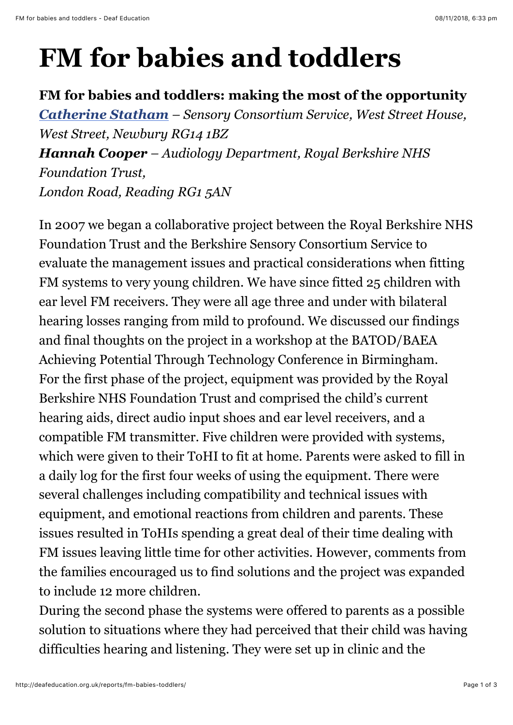## **FM for babies and toddlers**

## **FM for babies and toddlers: making the most of the opportunity**

*[Catherine Statham](http://deafeducation.org.uk/about-us/governance/cate-statham/) – Sensory Consortium Service, West Street House, West Street, Newbury RG14 1BZ Hannah Cooper – Audiology Department, Royal Berkshire NHS Foundation Trust, London Road, Reading RG1 5AN*

In 2007 we began a collaborative project between the Royal Berkshire NHS Foundation Trust and the Berkshire Sensory Consortium Service to evaluate the management issues and practical considerations when fitting FM systems to very young children. We have since fitted 25 children with ear level FM receivers. They were all age three and under with bilateral hearing losses ranging from mild to profound. We discussed our findings and final thoughts on the project in a workshop at the BATOD/BAEA Achieving Potential Through Technology Conference in Birmingham. For the first phase of the project, equipment was provided by the Royal Berkshire NHS Foundation Trust and comprised the child's current hearing aids, direct audio input shoes and ear level receivers, and a compatible FM transmitter. Five children were provided with systems, which were given to their ToHI to fit at home. Parents were asked to fill in a daily log for the first four weeks of using the equipment. There were several challenges including compatibility and technical issues with equipment, and emotional reactions from children and parents. These issues resulted in ToHIs spending a great deal of their time dealing with FM issues leaving little time for other activities. However, comments from the families encouraged us to find solutions and the project was expanded to include 12 more children.

During the second phase the systems were offered to parents as a possible solution to situations where they had perceived that their child was having difficulties hearing and listening. They were set up in clinic and the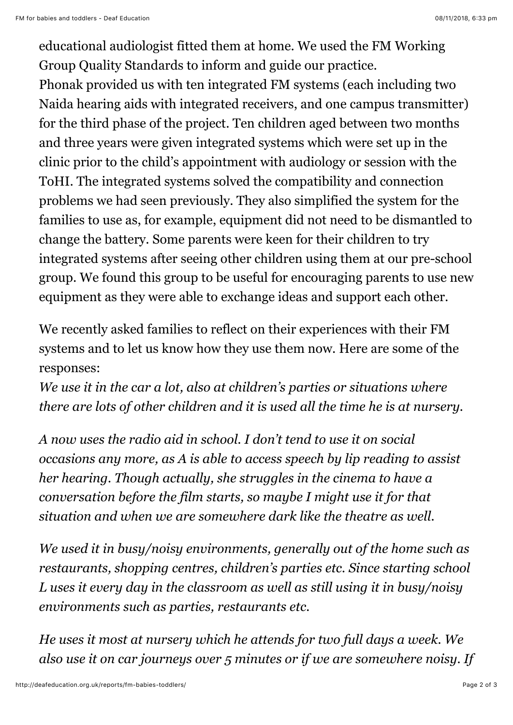educational audiologist fitted them at home. We used the FM Working Group Quality Standards to inform and guide our practice.

Phonak provided us with ten integrated FM systems (each including two Naida hearing aids with integrated receivers, and one campus transmitter) for the third phase of the project. Ten children aged between two months and three years were given integrated systems which were set up in the clinic prior to the child's appointment with audiology or session with the ToHI. The integrated systems solved the compatibility and connection problems we had seen previously. They also simplified the system for the families to use as, for example, equipment did not need to be dismantled to change the battery. Some parents were keen for their children to try integrated systems after seeing other children using them at our pre-school group. We found this group to be useful for encouraging parents to use new equipment as they were able to exchange ideas and support each other.

We recently asked families to reflect on their experiences with their FM systems and to let us know how they use them now. Here are some of the responses:

*We use it in the car a lot, also at children's parties or situations where there are lots of other children and it is used all the time he is at nursery.*

*A now uses the radio aid in school. I don't tend to use it on social occasions any more, as A is able to access speech by lip reading to assist her hearing. Though actually, she struggles in the cinema to have a conversation before the film starts, so maybe I might use it for that situation and when we are somewhere dark like the theatre as well.*

*We used it in busy/noisy environments, generally out of the home such as restaurants, shopping centres, children's parties etc. Since starting school L uses it every day in the classroom as well as still using it in busy/noisy environments such as parties, restaurants etc.*

*He uses it most at nursery which he attends for two full days a week. We also use it on car journeys over 5 minutes or if we are somewhere noisy. If*